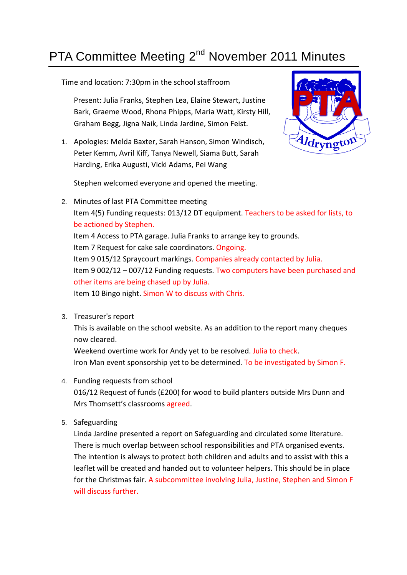## PTA Committee Meeting 2<sup>nd</sup> November 2011 Minutes

Time and location: 7:30pm in the school staffroom

Present: Julia Franks, Stephen Lea, Elaine Stewart, Justine Bark, Graeme Wood, Rhona Phipps, Maria Watt, Kirsty Hill, Graham Begg, Jigna Naik, Linda Jardine, Simon Feist.

1. Apologies: Melda Baxter, Sarah Hanson, Simon Windisch, Peter Kemm, Avril Kiff, Tanya Newell, Siama Butt, Sarah Harding, Erika Augusti, Vicki Adams, Pei Wang



Stephen welcomed everyone and opened the meeting.

- 2. Minutes of last PTA Committee meeting Item 4(5) Funding requests: 013/12 DT equipment. Teachers to be asked for lists, to be actioned by Stephen. Item 4 Access to PTA garage. Julia Franks to arrange key to grounds. Item 7 Request for cake sale coordinators. Ongoing. Item 9 015/12 Spraycourt markings. Companies already contacted by Julia. Item 9 002/12 – 007/12 Funding requests. Two computers have been purchased and other items are being chased up by Julia. Item 10 Bingo night. Simon W to discuss with Chris.
- 3. Treasurer's report

This is available on the school website. As an addition to the report many cheques now cleared.

Weekend overtime work for Andy yet to be resolved. Julia to check. Iron Man event sponsorship yet to be determined. To be investigated by Simon F.

4. Funding requests from school

016/12 Request of funds (£200) for wood to build planters outside Mrs Dunn and Mrs Thomsett's classrooms agreed.

5. Safeguarding

Linda Jardine presented a report on Safeguarding and circulated some literature. There is much overlap between school responsibilities and PTA organised events. The intention is always to protect both children and adults and to assist with this a leaflet will be created and handed out to volunteer helpers. This should be in place for the Christmas fair. A subcommittee involving Julia, Justine, Stephen and Simon F will discuss further.